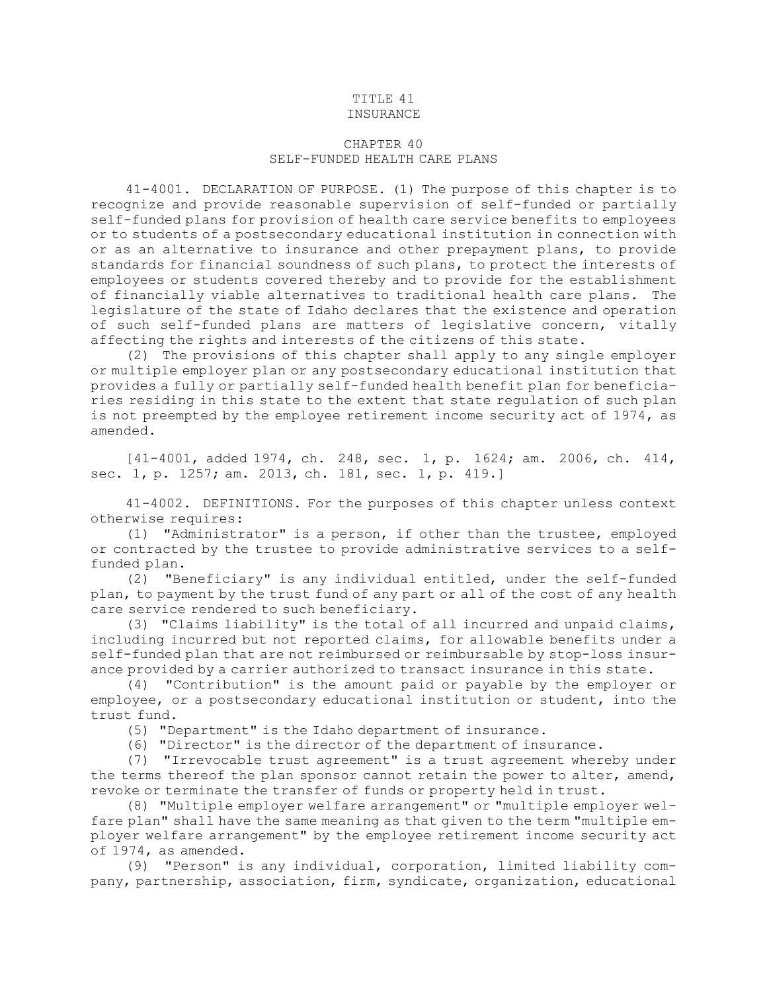## TITLE 41 INSURANCE

## CHAPTER 40 SELF-FUNDED HEALTH CARE PLANS

41-4001. DECLARATION OF PURPOSE. (1) The purpose of this chapter is to recognize and provide reasonable supervision of self-funded or partially self-funded plans for provision of health care service benefits to employees or to students of <sup>a</sup> postsecondary educational institution in connection with or as an alternative to insurance and other prepayment plans, to provide standards for financial soundness of such plans, to protect the interests of employees or students covered thereby and to provide for the establishment of financially viable alternatives to traditional health care plans. The legislature of the state of Idaho declares that the existence and operation of such self-funded plans are matters of legislative concern, vitally affecting the rights and interests of the citizens of this state.

(2) The provisions of this chapter shall apply to any single employer or multiple employer plan or any postsecondary educational institution that provides <sup>a</sup> fully or partially self-funded health benefit plan for beneficiaries residing in this state to the extent that state regulation of such plan is not preempted by the employee retirement income security act of 1974, as amended.

[41-4001, added 1974, ch. 248, sec. 1, p. 1624; am. 2006, ch. 414, sec. 1, p. 1257; am. 2013, ch. 181, sec. 1, p. 419.]

41-4002. DEFINITIONS. For the purposes of this chapter unless context otherwise requires:

(1) "Administrator" is <sup>a</sup> person, if other than the trustee, employed or contracted by the trustee to provide administrative services to <sup>a</sup> selffunded plan.

(2) "Beneficiary" is any individual entitled, under the self-funded plan, to payment by the trust fund of any part or all of the cost of any health care service rendered to such beneficiary.

(3) "Claims liability" is the total of all incurred and unpaid claims, including incurred but not reported claims, for allowable benefits under <sup>a</sup> self-funded plan that are not reimbursed or reimbursable by stop-loss insurance provided by <sup>a</sup> carrier authorized to transact insurance in this state.

(4) "Contribution" is the amount paid or payable by the employer or employee, or <sup>a</sup> postsecondary educational institution or student, into the trust fund.

(5) "Department" is the Idaho department of insurance.

(6) "Director" is the director of the department of insurance.

(7) "Irrevocable trust agreement" is <sup>a</sup> trust agreement whereby under the terms thereof the plan sponsor cannot retain the power to alter, amend, revoke or terminate the transfer of funds or property held in trust.

(8) "Multiple employer welfare arrangement" or "multiple employer welfare plan" shall have the same meaning as that given to the term "multiple employer welfare arrangement" by the employee retirement income security act of 1974, as amended.

(9) "Person" is any individual, corporation, limited liability company, partnership, association, firm, syndicate, organization, educational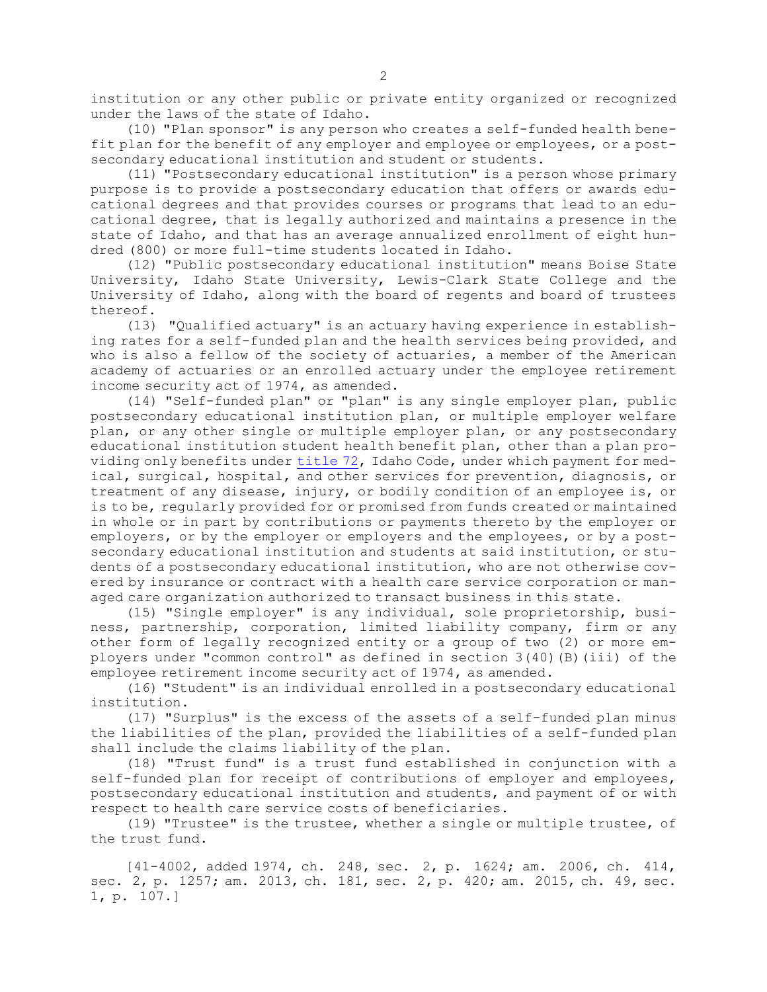institution or any other public or private entity organized or recognized under the laws of the state of Idaho.

(10) "Plan sponsor" is any person who creates <sup>a</sup> self-funded health benefit plan for the benefit of any employer and employee or employees, or <sup>a</sup> postsecondary educational institution and student or students.

(11) "Postsecondary educational institution" is <sup>a</sup> person whose primary purpose is to provide <sup>a</sup> postsecondary education that offers or awards educational degrees and that provides courses or programs that lead to an educational degree, that is legally authorized and maintains <sup>a</sup> presence in the state of Idaho, and that has an average annualized enrollment of eight hundred (800) or more full-time students located in Idaho.

(12) "Public postsecondary educational institution" means Boise State University, Idaho State University, Lewis-Clark State College and the University of Idaho, along with the board of regents and board of trustees thereof.

(13) "Qualified actuary" is an actuary having experience in establishing rates for <sup>a</sup> self-funded plan and the health services being provided, and who is also <sup>a</sup> fellow of the society of actuaries, <sup>a</sup> member of the American academy of actuaries or an enrolled actuary under the employee retirement income security act of 1974, as amended.

(14) "Self-funded plan" or "plan" is any single employer plan, public postsecondary educational institution plan, or multiple employer welfare plan, or any other single or multiple employer plan, or any postsecondary educational institution student health benefit plan, other than <sup>a</sup> plan providing only benefits under [title](https://legislature.idaho.gov/statutesrules/idstat/Title72/) 72, Idaho Code, under which payment for medical, surgical, hospital, and other services for prevention, diagnosis, or treatment of any disease, injury, or bodily condition of an employee is, or is to be, regularly provided for or promised from funds created or maintained in whole or in part by contributions or payments thereto by the employer or employers, or by the employer or employers and the employees, or by <sup>a</sup> postsecondary educational institution and students at said institution, or students of <sup>a</sup> postsecondary educational institution, who are not otherwise covered by insurance or contract with <sup>a</sup> health care service corporation or managed care organization authorized to transact business in this state.

(15) "Single employer" is any individual, sole proprietorship, business, partnership, corporation, limited liability company, firm or any other form of legally recognized entity or <sup>a</sup> group of two (2) or more employers under "common control" as defined in section  $3(40)$  (B)(iii) of the employee retirement income security act of 1974, as amended.

(16) "Student" is an individual enrolled in <sup>a</sup> postsecondary educational institution.

(17) "Surplus" is the excess of the assets of <sup>a</sup> self-funded plan minus the liabilities of the plan, provided the liabilities of <sup>a</sup> self-funded plan shall include the claims liability of the plan.

(18) "Trust fund" is <sup>a</sup> trust fund established in conjunction with <sup>a</sup> self-funded plan for receipt of contributions of employer and employees, postsecondary educational institution and students, and payment of or with respect to health care service costs of beneficiaries.

(19) "Trustee" is the trustee, whether <sup>a</sup> single or multiple trustee, of the trust fund.

[41-4002, added 1974, ch. 248, sec. 2, p. 1624; am. 2006, ch. 414, sec. 2, p. 1257; am. 2013, ch. 181, sec. 2, p. 420; am. 2015, ch. 49, sec. 1, p. 107.]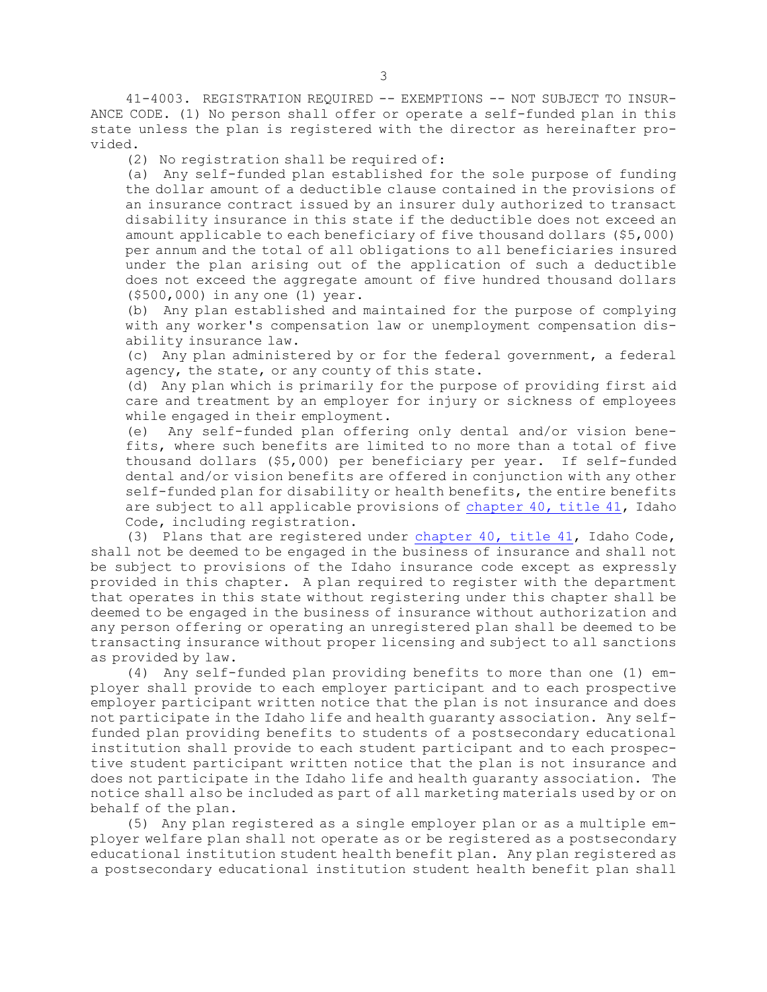41-4003. REGISTRATION REQUIRED -- EXEMPTIONS -- NOT SUBJECT TO INSUR-ANCE CODE. (1) No person shall offer or operate <sup>a</sup> self-funded plan in this state unless the plan is registered with the director as hereinafter provided.

(2) No registration shall be required of:

(a) Any self-funded plan established for the sole purpose of funding the dollar amount of <sup>a</sup> deductible clause contained in the provisions of an insurance contract issued by an insurer duly authorized to transact disability insurance in this state if the deductible does not exceed an amount applicable to each beneficiary of five thousand dollars (\$5,000) per annum and the total of all obligations to all beneficiaries insured under the plan arising out of the application of such <sup>a</sup> deductible does not exceed the aggregate amount of five hundred thousand dollars (\$500,000) in any one (1) year.

(b) Any plan established and maintained for the purpose of complying with any worker's compensation law or unemployment compensation disability insurance law.

(c) Any plan administered by or for the federal government, <sup>a</sup> federal agency, the state, or any county of this state.

(d) Any plan which is primarily for the purpose of providing first aid care and treatment by an employer for injury or sickness of employees while engaged in their employment.

(e) Any self-funded plan offering only dental and/or vision benefits, where such benefits are limited to no more than <sup>a</sup> total of five thousand dollars (\$5,000) per beneficiary per year. If self-funded dental and/or vision benefits are offered in conjunction with any other self-funded plan for disability or health benefits, the entire benefits are subject to all applicable provisions of [chapter](https://legislature.idaho.gov/statutesrules/idstat/Title41/T41CH40) 40, title 41, Idaho Code, including registration.

(3) Plans that are registered under [chapter](https://legislature.idaho.gov/statutesrules/idstat/Title41/T41CH40) 40, title 41, Idaho Code, shall not be deemed to be engaged in the business of insurance and shall not be subject to provisions of the Idaho insurance code except as expressly provided in this chapter. <sup>A</sup> plan required to register with the department that operates in this state without registering under this chapter shall be deemed to be engaged in the business of insurance without authorization and any person offering or operating an unregistered plan shall be deemed to be transacting insurance without proper licensing and subject to all sanctions as provided by law.

(4) Any self-funded plan providing benefits to more than one (1) employer shall provide to each employer participant and to each prospective employer participant written notice that the plan is not insurance and does not participate in the Idaho life and health guaranty association. Any selffunded plan providing benefits to students of <sup>a</sup> postsecondary educational institution shall provide to each student participant and to each prospective student participant written notice that the plan is not insurance and does not participate in the Idaho life and health guaranty association. The notice shall also be included as part of all marketing materials used by or on behalf of the plan.

(5) Any plan registered as <sup>a</sup> single employer plan or as <sup>a</sup> multiple employer welfare plan shall not operate as or be registered as <sup>a</sup> postsecondary educational institution student health benefit plan. Any plan registered as <sup>a</sup> postsecondary educational institution student health benefit plan shall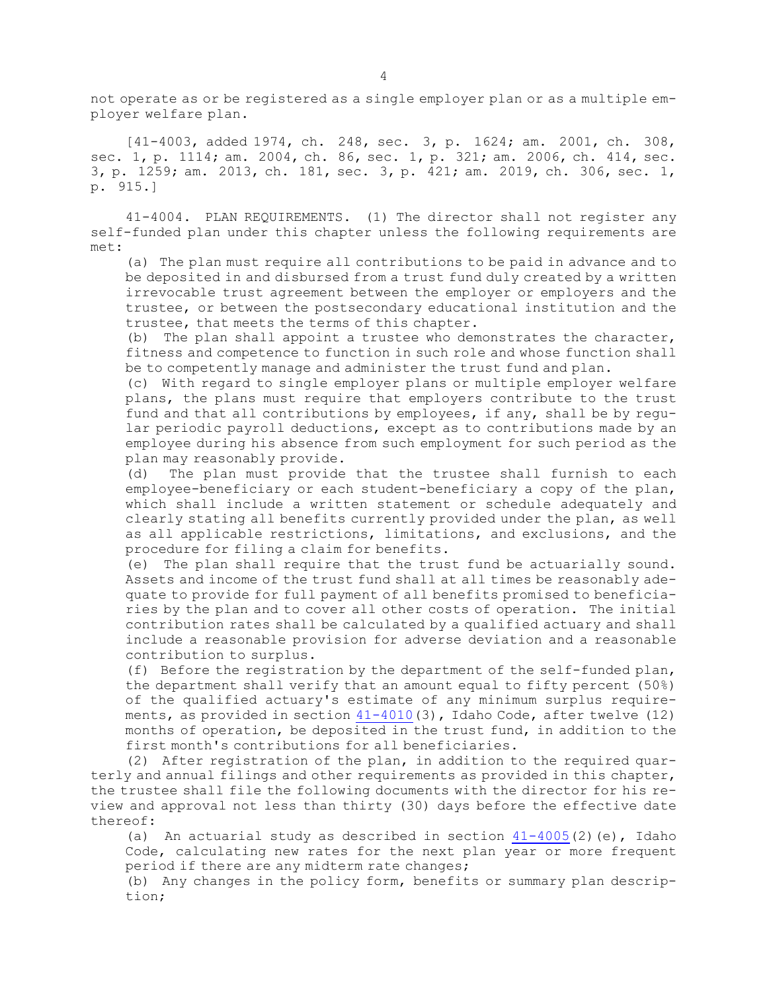not operate as or be registered as <sup>a</sup> single employer plan or as <sup>a</sup> multiple employer welfare plan.

[41-4003, added 1974, ch. 248, sec. 3, p. 1624; am. 2001, ch. 308, sec. 1, p. 1114; am. 2004, ch. 86, sec. 1, p. 321; am. 2006, ch. 414, sec. 3, p. 1259; am. 2013, ch. 181, sec. 3, p. 421; am. 2019, ch. 306, sec. 1, p. 915.]

41-4004. PLAN REQUIREMENTS. (1) The director shall not register any self-funded plan under this chapter unless the following requirements are met:

(a) The plan must require all contributions to be paid in advance and to be deposited in and disbursed from <sup>a</sup> trust fund duly created by <sup>a</sup> written irrevocable trust agreement between the employer or employers and the trustee, or between the postsecondary educational institution and the trustee, that meets the terms of this chapter.

(b) The plan shall appoint <sup>a</sup> trustee who demonstrates the character, fitness and competence to function in such role and whose function shall be to competently manage and administer the trust fund and plan.

(c) With regard to single employer plans or multiple employer welfare plans, the plans must require that employers contribute to the trust fund and that all contributions by employees, if any, shall be by regular periodic payroll deductions, except as to contributions made by an employee during his absence from such employment for such period as the plan may reasonably provide.

(d) The plan must provide that the trustee shall furnish to each employee-beneficiary or each student-beneficiary <sup>a</sup> copy of the plan, which shall include <sup>a</sup> written statement or schedule adequately and clearly stating all benefits currently provided under the plan, as well as all applicable restrictions, limitations, and exclusions, and the procedure for filing <sup>a</sup> claim for benefits.

(e) The plan shall require that the trust fund be actuarially sound. Assets and income of the trust fund shall at all times be reasonably adequate to provide for full payment of all benefits promised to beneficiaries by the plan and to cover all other costs of operation. The initial contribution rates shall be calculated by <sup>a</sup> qualified actuary and shall include <sup>a</sup> reasonable provision for adverse deviation and <sup>a</sup> reasonable contribution to surplus.

(f) Before the registration by the department of the self-funded plan, the department shall verify that an amount equal to fifty percent (50%) of the qualified actuary's estimate of any minimum surplus requirements, as provided in section  $41-4010(3)$  $41-4010(3)$ , Idaho Code, after twelve (12) months of operation, be deposited in the trust fund, in addition to the first month's contributions for all beneficiaries.

(2) After registration of the plan, in addition to the required quarterly and annual filings and other requirements as provided in this chapter, the trustee shall file the following documents with the director for his review and approval not less than thirty (30) days before the effective date thereof:

(a) An actuarial study as described in section  $41-4005(2)$  $41-4005(2)$  (e), Idaho Code, calculating new rates for the next plan year or more frequent period if there are any midterm rate changes;

(b) Any changes in the policy form, benefits or summary plan description;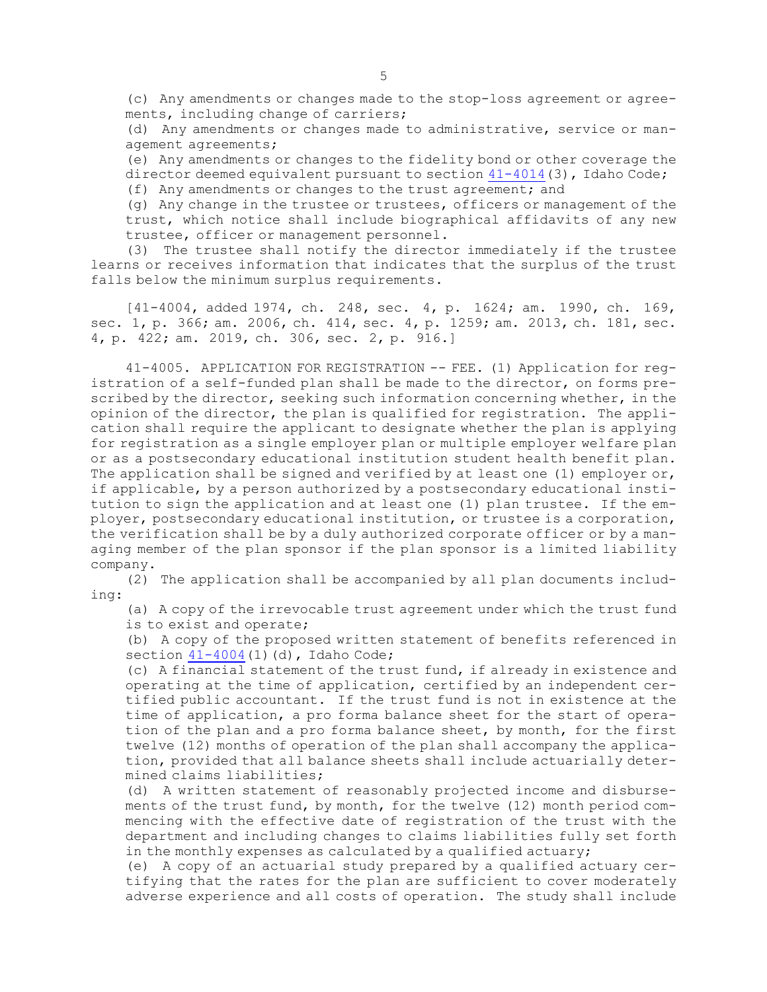(c) Any amendments or changes made to the stop-loss agreement or agreements, including change of carriers;

(d) Any amendments or changes made to administrative, service or management agreements;

(e) Any amendments or changes to the fidelity bond or other coverage the director deemed equivalent pursuant to section [41-4014](https://legislature.idaho.gov/statutesrules/idstat/Title41/T41CH40/SECT41-4014)(3), Idaho Code;

(f) Any amendments or changes to the trust agreement; and

(g) Any change in the trustee or trustees, officers or management of the trust, which notice shall include biographical affidavits of any new trustee, officer or management personnel.

(3) The trustee shall notify the director immediately if the trustee learns or receives information that indicates that the surplus of the trust falls below the minimum surplus requirements.

[41-4004, added 1974, ch. 248, sec. 4, p. 1624; am. 1990, ch. 169, sec. 1, p. 366; am. 2006, ch. 414, sec. 4, p. 1259; am. 2013, ch. 181, sec. 4, p. 422; am. 2019, ch. 306, sec. 2, p. 916.]

41-4005. APPLICATION FOR REGISTRATION -- FEE. (1) Application for registration of <sup>a</sup> self-funded plan shall be made to the director, on forms prescribed by the director, seeking such information concerning whether, in the opinion of the director, the plan is qualified for registration. The application shall require the applicant to designate whether the plan is applying for registration as <sup>a</sup> single employer plan or multiple employer welfare plan or as <sup>a</sup> postsecondary educational institution student health benefit plan. The application shall be signed and verified by at least one (1) employer or, if applicable, by <sup>a</sup> person authorized by <sup>a</sup> postsecondary educational institution to sign the application and at least one (1) plan trustee. If the employer, postsecondary educational institution, or trustee is <sup>a</sup> corporation, the verification shall be by <sup>a</sup> duly authorized corporate officer or by <sup>a</sup> managing member of the plan sponsor if the plan sponsor is <sup>a</sup> limited liability company.

(2) The application shall be accompanied by all plan documents including:

(a) <sup>A</sup> copy of the irrevocable trust agreement under which the trust fund is to exist and operate;

(b) <sup>A</sup> copy of the proposed written statement of benefits referenced in section  $41-4004(1)(d)$  $41-4004(1)(d)$ , Idaho Code;

(c) <sup>A</sup> financial statement of the trust fund, if already in existence and operating at the time of application, certified by an independent certified public accountant. If the trust fund is not in existence at the time of application, <sup>a</sup> pro forma balance sheet for the start of operation of the plan and <sup>a</sup> pro forma balance sheet, by month, for the first twelve (12) months of operation of the plan shall accompany the application, provided that all balance sheets shall include actuarially determined claims liabilities;

(d) <sup>A</sup> written statement of reasonably projected income and disbursements of the trust fund, by month, for the twelve (12) month period commencing with the effective date of registration of the trust with the department and including changes to claims liabilities fully set forth in the monthly expenses as calculated by a qualified actuary;

(e) <sup>A</sup> copy of an actuarial study prepared by <sup>a</sup> qualified actuary certifying that the rates for the plan are sufficient to cover moderately adverse experience and all costs of operation. The study shall include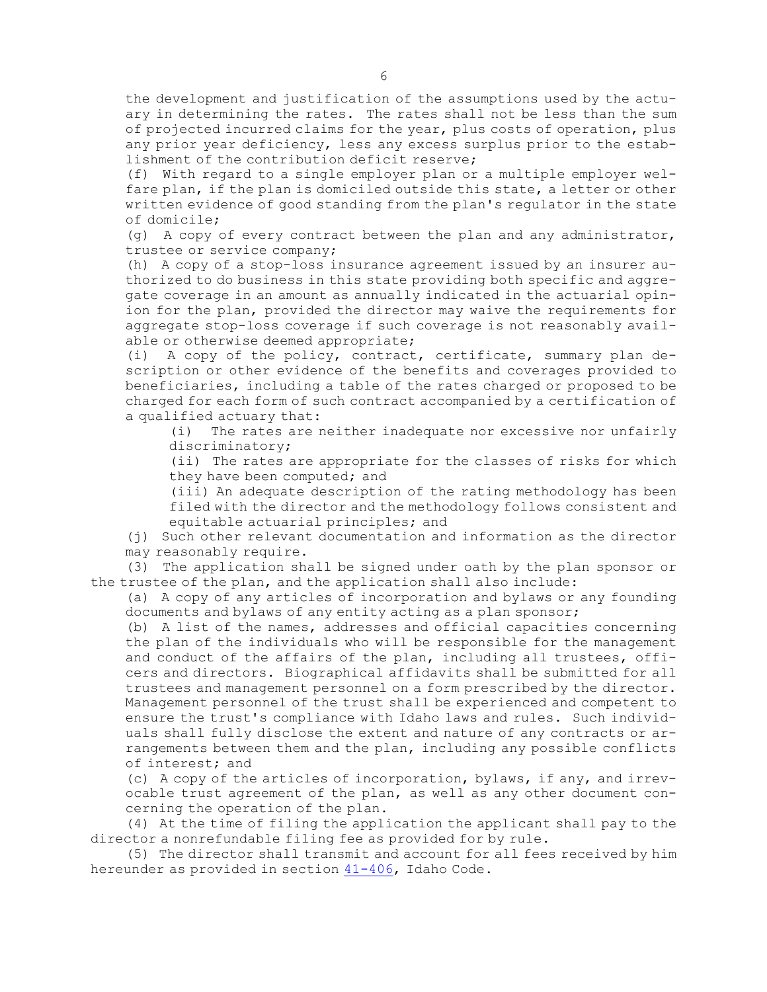the development and justification of the assumptions used by the actuary in determining the rates. The rates shall not be less than the sum of projected incurred claims for the year, plus costs of operation, plus any prior year deficiency, less any excess surplus prior to the establishment of the contribution deficit reserve;

(f) With regard to <sup>a</sup> single employer plan or <sup>a</sup> multiple employer welfare plan, if the plan is domiciled outside this state, <sup>a</sup> letter or other written evidence of good standing from the plan's regulator in the state of domicile;

(q) A copy of every contract between the plan and any administrator, trustee or service company;

(h) <sup>A</sup> copy of <sup>a</sup> stop-loss insurance agreement issued by an insurer authorized to do business in this state providing both specific and aggregate coverage in an amount as annually indicated in the actuarial opinion for the plan, provided the director may waive the requirements for aggregate stop-loss coverage if such coverage is not reasonably available or otherwise deemed appropriate;

(i) <sup>A</sup> copy of the policy, contract, certificate, summary plan description or other evidence of the benefits and coverages provided to beneficiaries, including <sup>a</sup> table of the rates charged or proposed to be charged for each form of such contract accompanied by <sup>a</sup> certification of <sup>a</sup> qualified actuary that:

(i) The rates are neither inadequate nor excessive nor unfairly discriminatory;

(ii) The rates are appropriate for the classes of risks for which they have been computed; and

(iii) An adequate description of the rating methodology has been filed with the director and the methodology follows consistent and equitable actuarial principles; and

(j) Such other relevant documentation and information as the director may reasonably require.

(3) The application shall be signed under oath by the plan sponsor or the trustee of the plan, and the application shall also include:

(a) <sup>A</sup> copy of any articles of incorporation and bylaws or any founding documents and bylaws of any entity acting as <sup>a</sup> plan sponsor;

(b) <sup>A</sup> list of the names, addresses and official capacities concerning the plan of the individuals who will be responsible for the management and conduct of the affairs of the plan, including all trustees, officers and directors. Biographical affidavits shall be submitted for all trustees and management personnel on <sup>a</sup> form prescribed by the director. Management personnel of the trust shall be experienced and competent to ensure the trust's compliance with Idaho laws and rules. Such individuals shall fully disclose the extent and nature of any contracts or arrangements between them and the plan, including any possible conflicts of interest; and

(c) <sup>A</sup> copy of the articles of incorporation, bylaws, if any, and irrevocable trust agreement of the plan, as well as any other document concerning the operation of the plan.

(4) At the time of filing the application the applicant shall pay to the director <sup>a</sup> nonrefundable filing fee as provided for by rule.

(5) The director shall transmit and account for all fees received by him hereunder as provided in section [41-406](https://legislature.idaho.gov/statutesrules/idstat/Title41/T41CH4/SECT41-406), Idaho Code.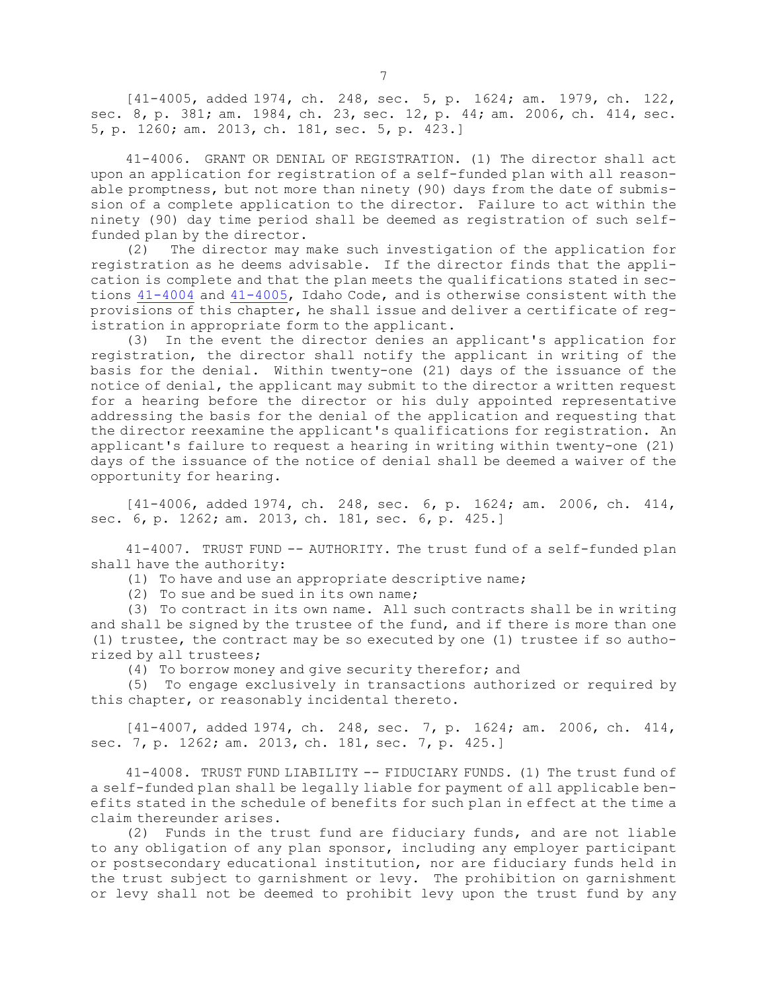[41-4005, added 1974, ch. 248, sec. 5, p. 1624; am. 1979, ch. 122, sec. 8, p. 381; am. 1984, ch. 23, sec. 12, p. 44; am. 2006, ch. 414, sec. 5, p. 1260; am. 2013, ch. 181, sec. 5, p. 423.]

41-4006. GRANT OR DENIAL OF REGISTRATION. (1) The director shall act upon an application for registration of <sup>a</sup> self-funded plan with all reasonable promptness, but not more than ninety (90) days from the date of submission of <sup>a</sup> complete application to the director. Failure to act within the ninety (90) day time period shall be deemed as registration of such selffunded plan by the director.

(2) The director may make such investigation of the application for registration as he deems advisable. If the director finds that the application is complete and that the plan meets the qualifications stated in sections [41-4004](https://legislature.idaho.gov/statutesrules/idstat/Title41/T41CH40/SECT41-4004) and [41-4005](https://legislature.idaho.gov/statutesrules/idstat/Title41/T41CH40/SECT41-4005), Idaho Code, and is otherwise consistent with the provisions of this chapter, he shall issue and deliver <sup>a</sup> certificate of registration in appropriate form to the applicant.

(3) In the event the director denies an applicant's application for registration, the director shall notify the applicant in writing of the basis for the denial. Within twenty-one (21) days of the issuance of the notice of denial, the applicant may submit to the director <sup>a</sup> written request for <sup>a</sup> hearing before the director or his duly appointed representative addressing the basis for the denial of the application and requesting that the director reexamine the applicant's qualifications for registration. An applicant's failure to request <sup>a</sup> hearing in writing within twenty-one (21) days of the issuance of the notice of denial shall be deemed <sup>a</sup> waiver of the opportunity for hearing.

[41-4006, added 1974, ch. 248, sec. 6, p. 1624; am. 2006, ch. 414, sec. 6, p. 1262; am. 2013, ch. 181, sec. 6, p. 425.]

41-4007. TRUST FUND -- AUTHORITY. The trust fund of <sup>a</sup> self-funded plan shall have the authority:

(1) To have and use an appropriate descriptive name;

(2) To sue and be sued in its own name;

(3) To contract in its own name. All such contracts shall be in writing and shall be signed by the trustee of the fund, and if there is more than one (1) trustee, the contract may be so executed by one (1) trustee if so authorized by all trustees;

(4) To borrow money and give security therefor; and

(5) To engage exclusively in transactions authorized or required by this chapter, or reasonably incidental thereto.

[41-4007, added 1974, ch. 248, sec. 7, p. 1624; am. 2006, ch. 414, sec. 7, p. 1262; am. 2013, ch. 181, sec. 7, p. 425.]

41-4008. TRUST FUND LIABILITY -- FIDUCIARY FUNDS. (1) The trust fund of <sup>a</sup> self-funded plan shall be legally liable for payment of all applicable benefits stated in the schedule of benefits for such plan in effect at the time <sup>a</sup> claim thereunder arises.

(2) Funds in the trust fund are fiduciary funds, and are not liable to any obligation of any plan sponsor, including any employer participant or postsecondary educational institution, nor are fiduciary funds held in the trust subject to garnishment or levy. The prohibition on garnishment or levy shall not be deemed to prohibit levy upon the trust fund by any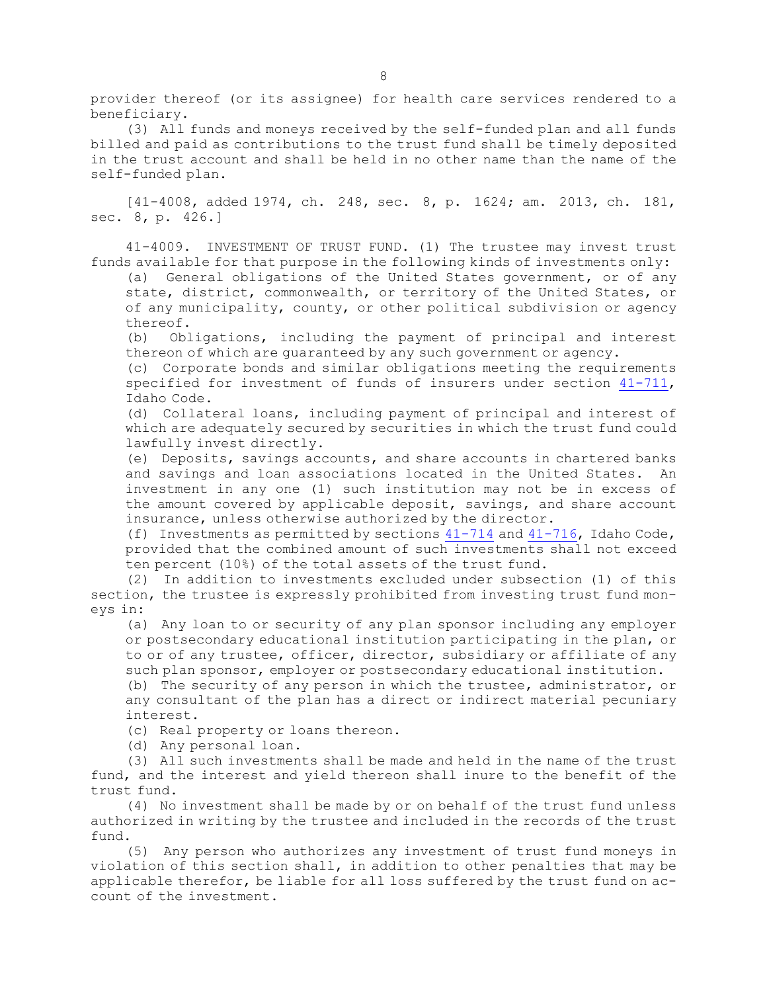provider thereof (or its assignee) for health care services rendered to <sup>a</sup> beneficiary.

(3) All funds and moneys received by the self-funded plan and all funds billed and paid as contributions to the trust fund shall be timely deposited in the trust account and shall be held in no other name than the name of the self-funded plan.

[41-4008, added 1974, ch. 248, sec. 8, p. 1624; am. 2013, ch. 181, sec. 8, p. 426.]

41-4009. INVESTMENT OF TRUST FUND. (1) The trustee may invest trust funds available for that purpose in the following kinds of investments only:

(a) General obligations of the United States government, or of any state, district, commonwealth, or territory of the United States, or of any municipality, county, or other political subdivision or agency thereof.

(b) Obligations, including the payment of principal and interest thereon of which are guaranteed by any such government or agency.

(c) Corporate bonds and similar obligations meeting the requirements specified for investment of funds of insurers under section [41-711](https://legislature.idaho.gov/statutesrules/idstat/Title41/T41CH7/SECT41-711), Idaho Code.

(d) Collateral loans, including payment of principal and interest of which are adequately secured by securities in which the trust fund could lawfully invest directly.

(e) Deposits, savings accounts, and share accounts in chartered banks and savings and loan associations located in the United States. An investment in any one (1) such institution may not be in excess of the amount covered by applicable deposit, savings, and share account insurance, unless otherwise authorized by the director.

(f) Investments as permitted by sections  $41-714$  and  $41-716$ , Idaho Code, provided that the combined amount of such investments shall not exceed ten percent (10%) of the total assets of the trust fund.

(2) In addition to investments excluded under subsection (1) of this section, the trustee is expressly prohibited from investing trust fund moneys in:

(a) Any loan to or security of any plan sponsor including any employer or postsecondary educational institution participating in the plan, or to or of any trustee, officer, director, subsidiary or affiliate of any such plan sponsor, employer or postsecondary educational institution.

(b) The security of any person in which the trustee, administrator, or any consultant of the plan has <sup>a</sup> direct or indirect material pecuniary interest.

(c) Real property or loans thereon.

(d) Any personal loan.

(3) All such investments shall be made and held in the name of the trust fund, and the interest and yield thereon shall inure to the benefit of the trust fund.

(4) No investment shall be made by or on behalf of the trust fund unless authorized in writing by the trustee and included in the records of the trust fund.

(5) Any person who authorizes any investment of trust fund moneys in violation of this section shall, in addition to other penalties that may be applicable therefor, be liable for all loss suffered by the trust fund on account of the investment.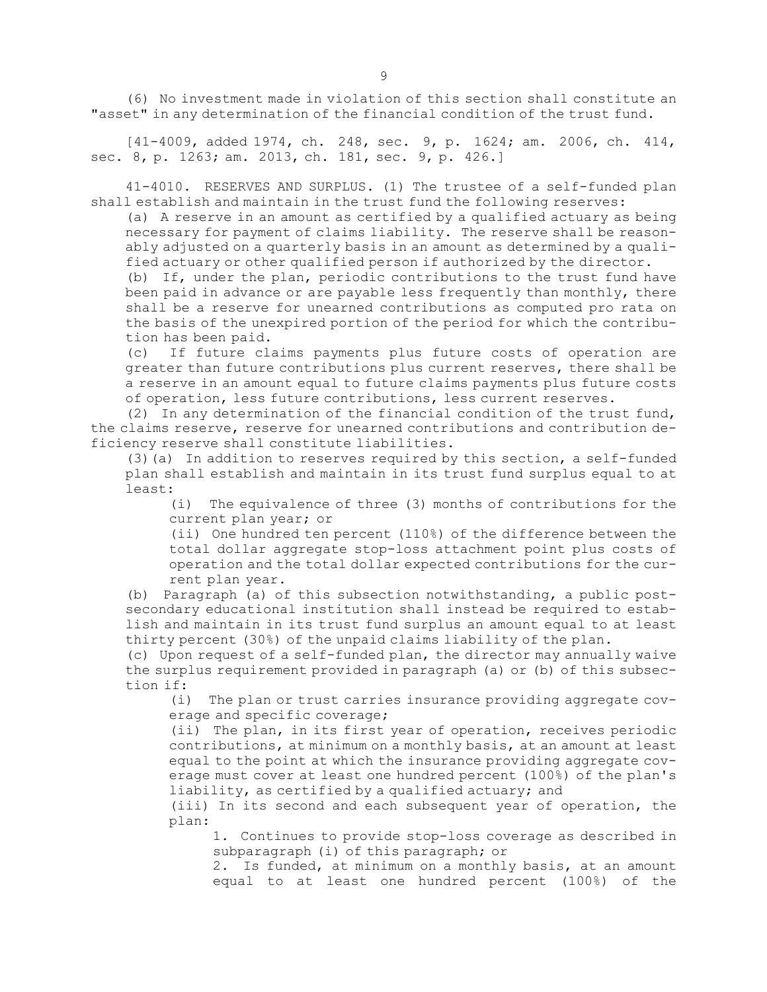(6) No investment made in violation of this section shall constitute an "asset" in any determination of the financial condition of the trust fund.

[41-4009, added 1974, ch. 248, sec. 9, p. 1624; am. 2006, ch. 414, sec. 8, p. 1263; am. 2013, ch. 181, sec. 9, p. 426.]

41-4010. RESERVES AND SURPLUS. (1) The trustee of <sup>a</sup> self-funded plan shall establish and maintain in the trust fund the following reserves:

(a) <sup>A</sup> reserve in an amount as certified by <sup>a</sup> qualified actuary as being necessary for payment of claims liability. The reserve shall be reasonably adjusted on <sup>a</sup> quarterly basis in an amount as determined by <sup>a</sup> qualified actuary or other qualified person if authorized by the director.

(b) If, under the plan, periodic contributions to the trust fund have been paid in advance or are payable less frequently than monthly, there shall be <sup>a</sup> reserve for unearned contributions as computed pro rata on the basis of the unexpired portion of the period for which the contribution has been paid.

(c) If future claims payments plus future costs of operation are greater than future contributions plus current reserves, there shall be <sup>a</sup> reserve in an amount equal to future claims payments plus future costs of operation, less future contributions, less current reserves.

(2) In any determination of the financial condition of the trust fund, the claims reserve, reserve for unearned contributions and contribution deficiency reserve shall constitute liabilities.

(3)(a) In addition to reserves required by this section, <sup>a</sup> self-funded plan shall establish and maintain in its trust fund surplus equal to at least:

(i) The equivalence of three (3) months of contributions for the current plan year; or

(ii) One hundred ten percent (110%) of the difference between the total dollar aggregate stop-loss attachment point plus costs of operation and the total dollar expected contributions for the current plan year.

(b) Paragraph (a) of this subsection notwithstanding, <sup>a</sup> public postsecondary educational institution shall instead be required to establish and maintain in its trust fund surplus an amount equal to at least thirty percent (30%) of the unpaid claims liability of the plan.

(c) Upon request of <sup>a</sup> self-funded plan, the director may annually waive the surplus requirement provided in paragraph (a) or (b) of this subsection if:

(i) The plan or trust carries insurance providing aggregate coverage and specific coverage;

(ii) The plan, in its first year of operation, receives periodic contributions, at minimum on <sup>a</sup> monthly basis, at an amount at least equal to the point at which the insurance providing aggregate coverage must cover at least one hundred percent (100%) of the plan's liability, as certified by <sup>a</sup> qualified actuary; and

(iii) In its second and each subsequent year of operation, the plan:

1. Continues to provide stop-loss coverage as described in subparagraph (i) of this paragraph; or

2. Is funded, at minimum on <sup>a</sup> monthly basis, at an amount equal to at least one hundred percent (100%) of the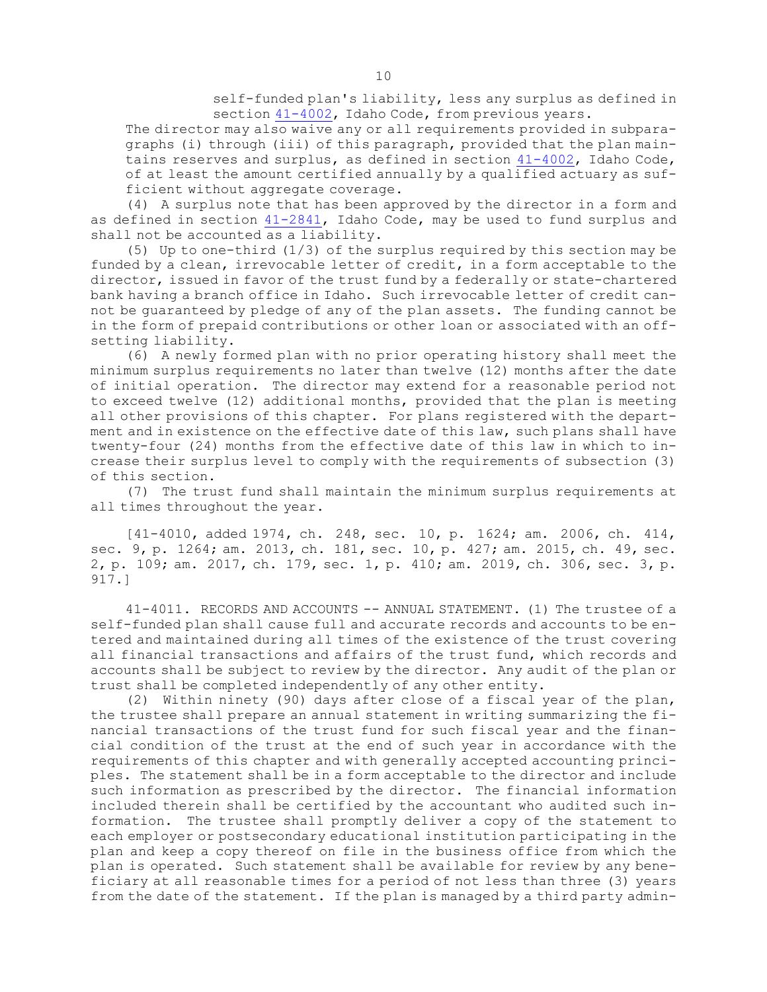self-funded plan's liability, less any surplus as defined in section  $41-4002$ , Idaho Code, from previous years.

The director may also waive any or all requirements provided in subparagraphs (i) through (iii) of this paragraph, provided that the plan maintains reserves and surplus, as defined in section [41-4002](https://legislature.idaho.gov/statutesrules/idstat/Title41/T41CH40/SECT41-4002), Idaho Code, of at least the amount certified annually by <sup>a</sup> qualified actuary as sufficient without aggregate coverage.

(4) <sup>A</sup> surplus note that has been approved by the director in <sup>a</sup> form and as defined in section [41-2841](https://legislature.idaho.gov/statutesrules/idstat/Title41/T41CH28/SECT41-2841), Idaho Code, may be used to fund surplus and shall not be accounted as <sup>a</sup> liability.

(5) Up to one-third (1/3) of the surplus required by this section may be funded by <sup>a</sup> clean, irrevocable letter of credit, in <sup>a</sup> form acceptable to the director, issued in favor of the trust fund by <sup>a</sup> federally or state-chartered bank having <sup>a</sup> branch office in Idaho. Such irrevocable letter of credit cannot be guaranteed by pledge of any of the plan assets. The funding cannot be in the form of prepaid contributions or other loan or associated with an offsetting liability.

(6) <sup>A</sup> newly formed plan with no prior operating history shall meet the minimum surplus requirements no later than twelve (12) months after the date of initial operation. The director may extend for <sup>a</sup> reasonable period not to exceed twelve (12) additional months, provided that the plan is meeting all other provisions of this chapter. For plans registered with the department and in existence on the effective date of this law, such plans shall have twenty-four (24) months from the effective date of this law in which to increase their surplus level to comply with the requirements of subsection (3) of this section.

(7) The trust fund shall maintain the minimum surplus requirements at all times throughout the year.

[41-4010, added 1974, ch. 248, sec. 10, p. 1624; am. 2006, ch. 414, sec. 9, p. 1264; am. 2013, ch. 181, sec. 10, p. 427; am. 2015, ch. 49, sec. 2, p. 109; am. 2017, ch. 179, sec. 1, p. 410; am. 2019, ch. 306, sec. 3, p. 917.]

41-4011. RECORDS AND ACCOUNTS -- ANNUAL STATEMENT. (1) The trustee of <sup>a</sup> self-funded plan shall cause full and accurate records and accounts to be entered and maintained during all times of the existence of the trust covering all financial transactions and affairs of the trust fund, which records and accounts shall be subject to review by the director. Any audit of the plan or trust shall be completed independently of any other entity.

(2) Within ninety (90) days after close of <sup>a</sup> fiscal year of the plan, the trustee shall prepare an annual statement in writing summarizing the financial transactions of the trust fund for such fiscal year and the financial condition of the trust at the end of such year in accordance with the requirements of this chapter and with generally accepted accounting principles. The statement shall be in <sup>a</sup> form acceptable to the director and include such information as prescribed by the director. The financial information included therein shall be certified by the accountant who audited such information. The trustee shall promptly deliver <sup>a</sup> copy of the statement to each employer or postsecondary educational institution participating in the plan and keep <sup>a</sup> copy thereof on file in the business office from which the plan is operated. Such statement shall be available for review by any beneficiary at all reasonable times for <sup>a</sup> period of not less than three (3) years from the date of the statement. If the plan is managed by <sup>a</sup> third party admin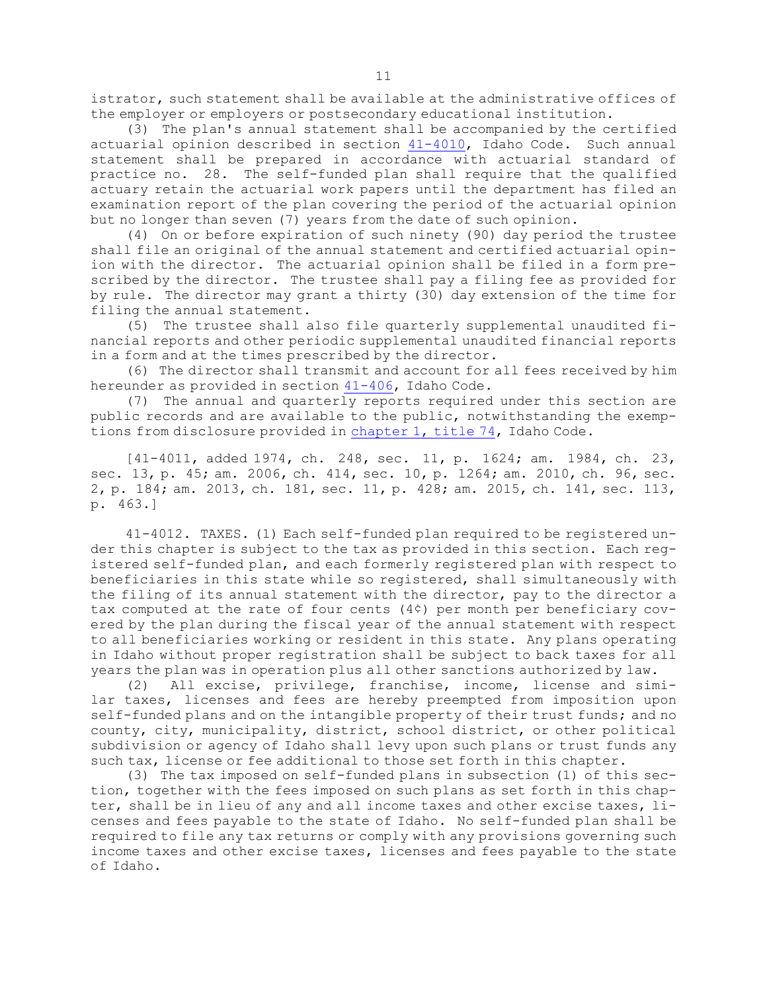istrator, such statement shall be available at the administrative offices of the employer or employers or postsecondary educational institution.

(3) The plan's annual statement shall be accompanied by the certified actuarial opinion described in section [41-4010](https://legislature.idaho.gov/statutesrules/idstat/Title41/T41CH40/SECT41-4010), Idaho Code. Such annual statement shall be prepared in accordance with actuarial standard of practice no. 28. The self-funded plan shall require that the qualified actuary retain the actuarial work papers until the department has filed an examination report of the plan covering the period of the actuarial opinion but no longer than seven (7) years from the date of such opinion.

(4) On or before expiration of such ninety (90) day period the trustee shall file an original of the annual statement and certified actuarial opinion with the director. The actuarial opinion shall be filed in <sup>a</sup> form prescribed by the director. The trustee shall pay <sup>a</sup> filing fee as provided for by rule. The director may grant <sup>a</sup> thirty (30) day extension of the time for filing the annual statement.

(5) The trustee shall also file quarterly supplemental unaudited financial reports and other periodic supplemental unaudited financial reports in <sup>a</sup> form and at the times prescribed by the director.

(6) The director shall transmit and account for all fees received by him hereunder as provided in section [41-406](https://legislature.idaho.gov/statutesrules/idstat/Title41/T41CH4/SECT41-406), Idaho Code.

(7) The annual and quarterly reports required under this section are public records and are available to the public, notwithstanding the exemptions from disclosure provided in [chapter](https://legislature.idaho.gov/statutesrules/idstat/Title74/T74CH1) 1, title 74, Idaho Code.

[41-4011, added 1974, ch. 248, sec. 11, p. 1624; am. 1984, ch. 23, sec. 13, p. 45; am. 2006, ch. 414, sec. 10, p. 1264; am. 2010, ch. 96, sec. 2, p. 184; am. 2013, ch. 181, sec. 11, p. 428; am. 2015, ch. 141, sec. 113, p. 463.]

41-4012. TAXES. (1) Each self-funded plan required to be registered under this chapter is subject to the tax as provided in this section. Each registered self-funded plan, and each formerly registered plan with respect to beneficiaries in this state while so registered, shall simultaneously with the filing of its annual statement with the director, pay to the director <sup>a</sup> tax computed at the rate of four cents (4¢) per month per beneficiary covered by the plan during the fiscal year of the annual statement with respect to all beneficiaries working or resident in this state. Any plans operating in Idaho without proper registration shall be subject to back taxes for all years the plan was in operation plus all other sanctions authorized by law.

(2) All excise, privilege, franchise, income, license and similar taxes, licenses and fees are hereby preempted from imposition upon self-funded plans and on the intangible property of their trust funds; and no county, city, municipality, district, school district, or other political subdivision or agency of Idaho shall levy upon such plans or trust funds any such tax, license or fee additional to those set forth in this chapter.

(3) The tax imposed on self-funded plans in subsection (1) of this section, together with the fees imposed on such plans as set forth in this chapter, shall be in lieu of any and all income taxes and other excise taxes, licenses and fees payable to the state of Idaho. No self-funded plan shall be required to file any tax returns or comply with any provisions governing such income taxes and other excise taxes, licenses and fees payable to the state of Idaho.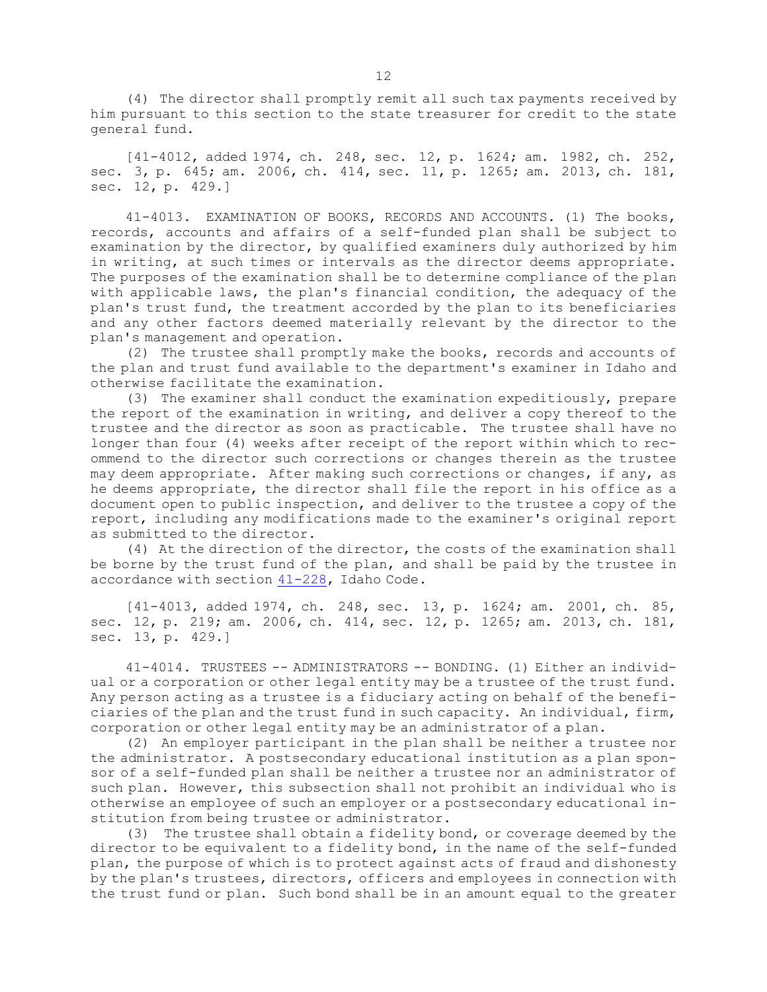(4) The director shall promptly remit all such tax payments received by him pursuant to this section to the state treasurer for credit to the state general fund.

[41-4012, added 1974, ch. 248, sec. 12, p. 1624; am. 1982, ch. 252, sec. 3, p. 645; am. 2006, ch. 414, sec. 11, p. 1265; am. 2013, ch. 181, sec. 12, p. 429.]

41-4013. EXAMINATION OF BOOKS, RECORDS AND ACCOUNTS. (1) The books, records, accounts and affairs of <sup>a</sup> self-funded plan shall be subject to examination by the director, by qualified examiners duly authorized by him in writing, at such times or intervals as the director deems appropriate. The purposes of the examination shall be to determine compliance of the plan with applicable laws, the plan's financial condition, the adequacy of the plan's trust fund, the treatment accorded by the plan to its beneficiaries and any other factors deemed materially relevant by the director to the plan's management and operation.

(2) The trustee shall promptly make the books, records and accounts of the plan and trust fund available to the department's examiner in Idaho and otherwise facilitate the examination.

(3) The examiner shall conduct the examination expeditiously, prepare the report of the examination in writing, and deliver <sup>a</sup> copy thereof to the trustee and the director as soon as practicable. The trustee shall have no longer than four (4) weeks after receipt of the report within which to recommend to the director such corrections or changes therein as the trustee may deem appropriate. After making such corrections or changes, if any, as he deems appropriate, the director shall file the report in his office as <sup>a</sup> document open to public inspection, and deliver to the trustee <sup>a</sup> copy of the report, including any modifications made to the examiner's original report as submitted to the director.

(4) At the direction of the director, the costs of the examination shall be borne by the trust fund of the plan, and shall be paid by the trustee in accordance with section [41-228](https://legislature.idaho.gov/statutesrules/idstat/Title41/T41CH2/SECT41-228), Idaho Code.

[41-4013, added 1974, ch. 248, sec. 13, p. 1624; am. 2001, ch. 85, sec. 12, p. 219; am. 2006, ch. 414, sec. 12, p. 1265; am. 2013, ch. 181, sec. 13, p. 429.]

41-4014. TRUSTEES -- ADMINISTRATORS -- BONDING. (1) Either an individual or a corporation or other legal entity may be a trustee of the trust fund. Any person acting as <sup>a</sup> trustee is <sup>a</sup> fiduciary acting on behalf of the beneficiaries of the plan and the trust fund in such capacity. An individual, firm, corporation or other legal entity may be an administrator of <sup>a</sup> plan.

(2) An employer participant in the plan shall be neither <sup>a</sup> trustee nor the administrator. <sup>A</sup> postsecondary educational institution as <sup>a</sup> plan sponsor of <sup>a</sup> self-funded plan shall be neither <sup>a</sup> trustee nor an administrator of such plan. However, this subsection shall not prohibit an individual who is otherwise an employee of such an employer or <sup>a</sup> postsecondary educational institution from being trustee or administrator.

(3) The trustee shall obtain <sup>a</sup> fidelity bond, or coverage deemed by the director to be equivalent to <sup>a</sup> fidelity bond, in the name of the self-funded plan, the purpose of which is to protect against acts of fraud and dishonesty by the plan's trustees, directors, officers and employees in connection with the trust fund or plan. Such bond shall be in an amount equal to the greater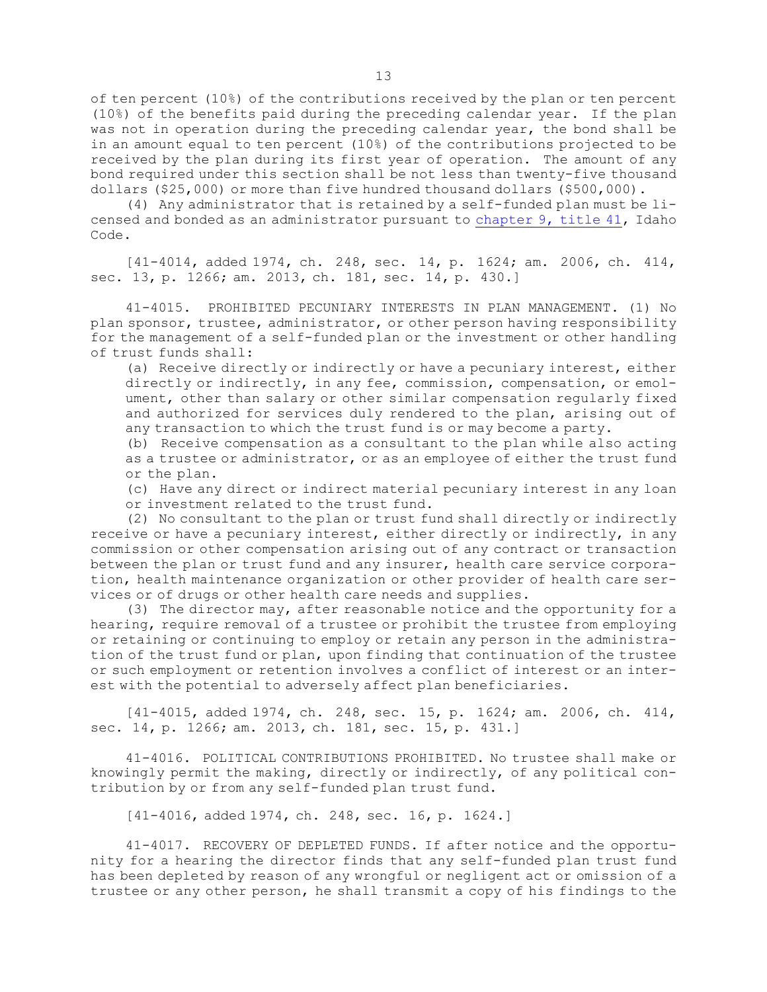of ten percent (10%) of the contributions received by the plan or ten percent (10%) of the benefits paid during the preceding calendar year. If the plan was not in operation during the preceding calendar year, the bond shall be in an amount equal to ten percent (10%) of the contributions projected to be received by the plan during its first year of operation. The amount of any bond required under this section shall be not less than twenty-five thousand dollars (\$25,000) or more than five hundred thousand dollars (\$500,000).

(4) Any administrator that is retained by <sup>a</sup> self-funded plan must be licensed and bonded as an administrator pursuant to [chapter](https://legislature.idaho.gov/statutesrules/idstat/Title41/T41CH9) 9, title 41, Idaho Code.

[41-4014, added 1974, ch. 248, sec. 14, p. 1624; am. 2006, ch. 414, sec. 13, p. 1266; am. 2013, ch. 181, sec. 14, p. 430.]

41-4015. PROHIBITED PECUNIARY INTERESTS IN PLAN MANAGEMENT. (1) No plan sponsor, trustee, administrator, or other person having responsibility for the management of <sup>a</sup> self-funded plan or the investment or other handling of trust funds shall:

(a) Receive directly or indirectly or have <sup>a</sup> pecuniary interest, either directly or indirectly, in any fee, commission, compensation, or emolument, other than salary or other similar compensation regularly fixed and authorized for services duly rendered to the plan, arising out of any transaction to which the trust fund is or may become <sup>a</sup> party.

(b) Receive compensation as <sup>a</sup> consultant to the plan while also acting as <sup>a</sup> trustee or administrator, or as an employee of either the trust fund or the plan.

(c) Have any direct or indirect material pecuniary interest in any loan or investment related to the trust fund.

(2) No consultant to the plan or trust fund shall directly or indirectly receive or have <sup>a</sup> pecuniary interest, either directly or indirectly, in any commission or other compensation arising out of any contract or transaction between the plan or trust fund and any insurer, health care service corporation, health maintenance organization or other provider of health care services or of drugs or other health care needs and supplies.

(3) The director may, after reasonable notice and the opportunity for <sup>a</sup> hearing, require removal of <sup>a</sup> trustee or prohibit the trustee from employing or retaining or continuing to employ or retain any person in the administration of the trust fund or plan, upon finding that continuation of the trustee or such employment or retention involves <sup>a</sup> conflict of interest or an interest with the potential to adversely affect plan beneficiaries.

[41-4015, added 1974, ch. 248, sec. 15, p. 1624; am. 2006, ch. 414, sec. 14, p. 1266; am. 2013, ch. 181, sec. 15, p. 431.]

41-4016. POLITICAL CONTRIBUTIONS PROHIBITED. No trustee shall make or knowingly permit the making, directly or indirectly, of any political contribution by or from any self-funded plan trust fund.

[41-4016, added 1974, ch. 248, sec. 16, p. 1624.]

41-4017. RECOVERY OF DEPLETED FUNDS. If after notice and the opportunity for <sup>a</sup> hearing the director finds that any self-funded plan trust fund has been depleted by reason of any wrongful or negligent act or omission of <sup>a</sup> trustee or any other person, he shall transmit <sup>a</sup> copy of his findings to the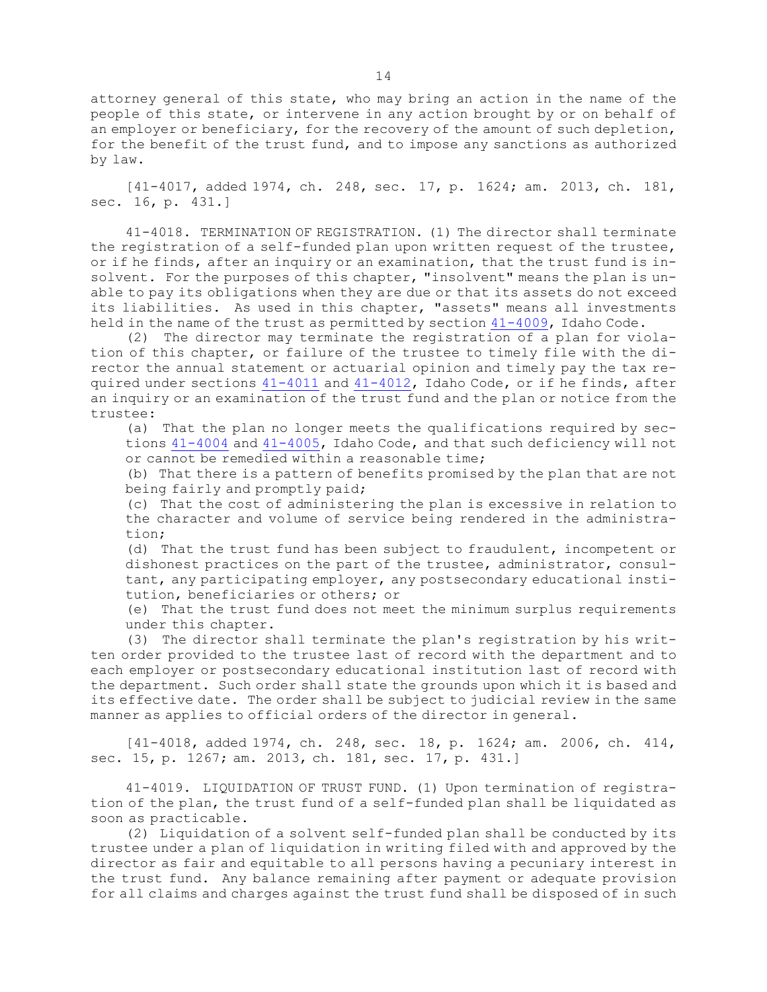attorney general of this state, who may bring an action in the name of the people of this state, or intervene in any action brought by or on behalf of an employer or beneficiary, for the recovery of the amount of such depletion, for the benefit of the trust fund, and to impose any sanctions as authorized by law.

[41-4017, added 1974, ch. 248, sec. 17, p. 1624; am. 2013, ch. 181, sec. 16, p. 431.]

41-4018. TERMINATION OF REGISTRATION. (1) The director shall terminate the registration of <sup>a</sup> self-funded plan upon written request of the trustee, or if he finds, after an inquiry or an examination, that the trust fund is insolvent. For the purposes of this chapter, "insolvent" means the plan is unable to pay its obligations when they are due or that its assets do not exceed its liabilities. As used in this chapter, "assets" means all investments held in the name of the trust as permitted by section [41-4009](https://legislature.idaho.gov/statutesrules/idstat/Title41/T41CH40/SECT41-4009), Idaho Code.

(2) The director may terminate the registration of <sup>a</sup> plan for violation of this chapter, or failure of the trustee to timely file with the director the annual statement or actuarial opinion and timely pay the tax required under sections [41-4011](https://legislature.idaho.gov/statutesrules/idstat/Title41/T41CH40/SECT41-4011) and [41-4012](https://legislature.idaho.gov/statutesrules/idstat/Title41/T41CH40/SECT41-4012), Idaho Code, or if he finds, after an inquiry or an examination of the trust fund and the plan or notice from the trustee:

(a) That the plan no longer meets the qualifications required by sections [41-4004](https://legislature.idaho.gov/statutesrules/idstat/Title41/T41CH40/SECT41-4004) and [41-4005](https://legislature.idaho.gov/statutesrules/idstat/Title41/T41CH40/SECT41-4005), Idaho Code, and that such deficiency will not or cannot be remedied within <sup>a</sup> reasonable time;

(b) That there is <sup>a</sup> pattern of benefits promised by the plan that are not being fairly and promptly paid;

(c) That the cost of administering the plan is excessive in relation to the character and volume of service being rendered in the administration;

(d) That the trust fund has been subject to fraudulent, incompetent or dishonest practices on the part of the trustee, administrator, consultant, any participating employer, any postsecondary educational institution, beneficiaries or others; or

(e) That the trust fund does not meet the minimum surplus requirements under this chapter.

(3) The director shall terminate the plan's registration by his written order provided to the trustee last of record with the department and to each employer or postsecondary educational institution last of record with the department. Such order shall state the grounds upon which it is based and its effective date. The order shall be subject to judicial review in the same manner as applies to official orders of the director in general.

[41-4018, added 1974, ch. 248, sec. 18, p. 1624; am. 2006, ch. 414, sec. 15, p. 1267; am. 2013, ch. 181, sec. 17, p. 431.]

41-4019. LIQUIDATION OF TRUST FUND. (1) Upon termination of registration of the plan, the trust fund of <sup>a</sup> self-funded plan shall be liquidated as soon as practicable.

(2) Liquidation of <sup>a</sup> solvent self-funded plan shall be conducted by its trustee under <sup>a</sup> plan of liquidation in writing filed with and approved by the director as fair and equitable to all persons having <sup>a</sup> pecuniary interest in the trust fund. Any balance remaining after payment or adequate provision for all claims and charges against the trust fund shall be disposed of in such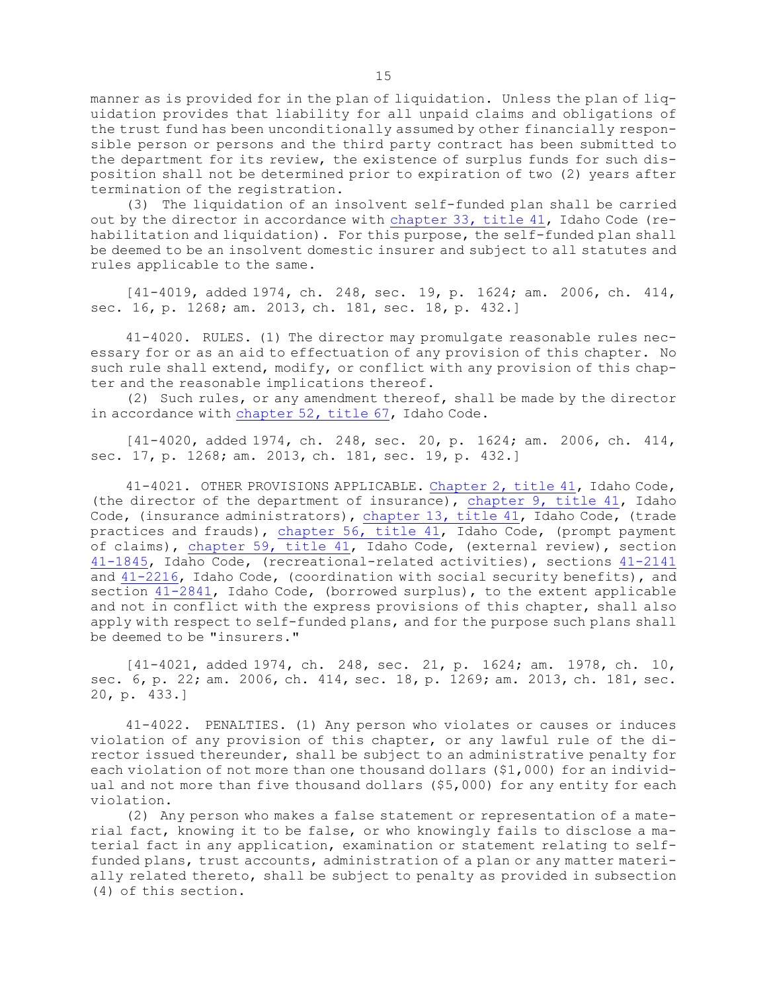manner as is provided for in the plan of liquidation. Unless the plan of liquidation provides that liability for all unpaid claims and obligations of the trust fund has been unconditionally assumed by other financially responsible person or persons and the third party contract has been submitted to the department for its review, the existence of surplus funds for such disposition shall not be determined prior to expiration of two (2) years after termination of the registration.

(3) The liquidation of an insolvent self-funded plan shall be carried out by the director in accordance with [chapter](https://legislature.idaho.gov/statutesrules/idstat/Title41/T41CH33) 33, title 41, Idaho Code (rehabilitation and liquidation). For this purpose, the self-funded plan shall be deemed to be an insolvent domestic insurer and subject to all statutes and rules applicable to the same.

[41-4019, added 1974, ch. 248, sec. 19, p. 1624; am. 2006, ch. 414, sec. 16, p. 1268; am. 2013, ch. 181, sec. 18, p. 432.]

41-4020. RULES. (1) The director may promulgate reasonable rules necessary for or as an aid to effectuation of any provision of this chapter. No such rule shall extend, modify, or conflict with any provision of this chapter and the reasonable implications thereof.

(2) Such rules, or any amendment thereof, shall be made by the director in accordance with [chapter](https://legislature.idaho.gov/statutesrules/idstat/Title67/T67CH52) 52, title 67, Idaho Code.

[41-4020, added 1974, ch. 248, sec. 20, p. 1624; am. 2006, ch. 414, sec. 17, p. 1268; am. 2013, ch. 181, sec. 19, p. 432.]

41-4021. OTHER PROVISIONS APPLICABLE. [Chapter](https://legislature.idaho.gov/statutesrules/idstat/Title41/T41CH2) 2, title 41, Idaho Code, (the director of the department of insurance), [chapter](https://legislature.idaho.gov/statutesrules/idstat/Title41/T41CH9) 9, title 41, Idaho Code, (insurance administrators), [chapter](https://legislature.idaho.gov/statutesrules/idstat/Title41/T41CH13) 13, title 41, Idaho Code, (trade practices and frauds), [chapter](https://legislature.idaho.gov/statutesrules/idstat/Title41/T41CH56) 56, title 41, Idaho Code, (prompt payment of claims), [chapter](https://legislature.idaho.gov/statutesrules/idstat/Title41/T41CH59) 59, title 41, Idaho Code, (external review), section [41-1845](https://legislature.idaho.gov/statutesrules/idstat/Title41/T41CH18/SECT41-1845), Idaho Code, (recreational-related activities), sections [41-2141](https://legislature.idaho.gov/statutesrules/idstat/Title41/T41CH21/SECT41-2141) and [41-2216](https://legislature.idaho.gov/statutesrules/idstat/Title41/T41CH22/SECT41-2216), Idaho Code, (coordination with social security benefits), and section [41-2841](https://legislature.idaho.gov/statutesrules/idstat/Title41/T41CH28/SECT41-2841), Idaho Code, (borrowed surplus), to the extent applicable and not in conflict with the express provisions of this chapter, shall also apply with respect to self-funded plans, and for the purpose such plans shall be deemed to be "insurers."

[41-4021, added 1974, ch. 248, sec. 21, p. 1624; am. 1978, ch. 10, sec. 6, p. 22; am. 2006, ch. 414, sec. 18, p. 1269; am. 2013, ch. 181, sec. 20, p. 433.]

41-4022. PENALTIES. (1) Any person who violates or causes or induces violation of any provision of this chapter, or any lawful rule of the director issued thereunder, shall be subject to an administrative penalty for each violation of not more than one thousand dollars (\$1,000) for an individual and not more than five thousand dollars (\$5,000) for any entity for each violation.

(2) Any person who makes <sup>a</sup> false statement or representation of <sup>a</sup> material fact, knowing it to be false, or who knowingly fails to disclose <sup>a</sup> material fact in any application, examination or statement relating to selffunded plans, trust accounts, administration of <sup>a</sup> plan or any matter materially related thereto, shall be subject to penalty as provided in subsection (4) of this section.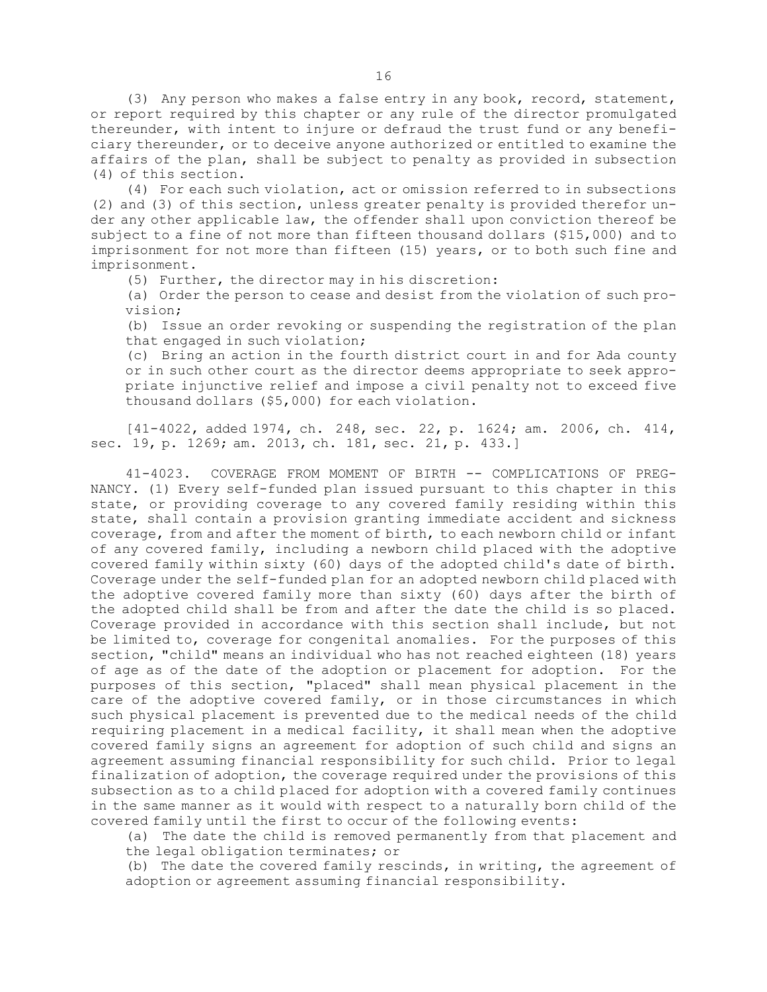(3) Any person who makes <sup>a</sup> false entry in any book, record, statement, or report required by this chapter or any rule of the director promulgated thereunder, with intent to injure or defraud the trust fund or any beneficiary thereunder, or to deceive anyone authorized or entitled to examine the affairs of the plan, shall be subject to penalty as provided in subsection (4) of this section.

(4) For each such violation, act or omission referred to in subsections (2) and (3) of this section, unless greater penalty is provided therefor under any other applicable law, the offender shall upon conviction thereof be subject to <sup>a</sup> fine of not more than fifteen thousand dollars (\$15,000) and to imprisonment for not more than fifteen (15) years, or to both such fine and imprisonment.

(5) Further, the director may in his discretion:

(a) Order the person to cease and desist from the violation of such provision;

(b) Issue an order revoking or suspending the registration of the plan that engaged in such violation;

(c) Bring an action in the fourth district court in and for Ada county or in such other court as the director deems appropriate to seek appropriate injunctive relief and impose <sup>a</sup> civil penalty not to exceed five thousand dollars (\$5,000) for each violation.

[41-4022, added 1974, ch. 248, sec. 22, p. 1624; am. 2006, ch. 414, sec. 19, p. 1269; am. 2013, ch. 181, sec. 21, p. 433.]

41-4023. COVERAGE FROM MOMENT OF BIRTH -- COMPLICATIONS OF PREG-NANCY. (1) Every self-funded plan issued pursuant to this chapter in this state, or providing coverage to any covered family residing within this state, shall contain <sup>a</sup> provision granting immediate accident and sickness coverage, from and after the moment of birth, to each newborn child or infant of any covered family, including <sup>a</sup> newborn child placed with the adoptive covered family within sixty (60) days of the adopted child's date of birth. Coverage under the self-funded plan for an adopted newborn child placed with the adoptive covered family more than sixty (60) days after the birth of the adopted child shall be from and after the date the child is so placed. Coverage provided in accordance with this section shall include, but not be limited to, coverage for congenital anomalies. For the purposes of this section, "child" means an individual who has not reached eighteen (18) years of age as of the date of the adoption or placement for adoption. For the purposes of this section, "placed" shall mean physical placement in the care of the adoptive covered family, or in those circumstances in which such physical placement is prevented due to the medical needs of the child requiring placement in <sup>a</sup> medical facility, it shall mean when the adoptive covered family signs an agreement for adoption of such child and signs an agreement assuming financial responsibility for such child. Prior to legal finalization of adoption, the coverage required under the provisions of this subsection as to <sup>a</sup> child placed for adoption with <sup>a</sup> covered family continues in the same manner as it would with respect to <sup>a</sup> naturally born child of the covered family until the first to occur of the following events:

(a) The date the child is removed permanently from that placement and the legal obligation terminates; or

(b) The date the covered family rescinds, in writing, the agreement of adoption or agreement assuming financial responsibility.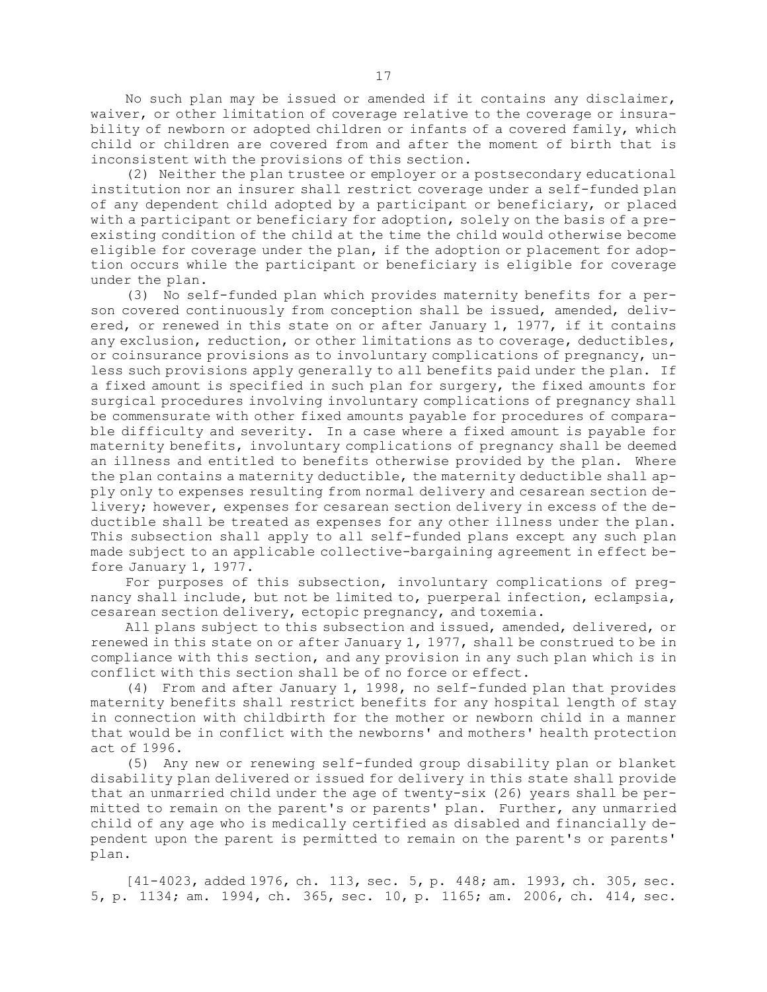No such plan may be issued or amended if it contains any disclaimer, waiver, or other limitation of coverage relative to the coverage or insurability of newborn or adopted children or infants of <sup>a</sup> covered family, which child or children are covered from and after the moment of birth that is inconsistent with the provisions of this section.

(2) Neither the plan trustee or employer or <sup>a</sup> postsecondary educational institution nor an insurer shall restrict coverage under <sup>a</sup> self-funded plan of any dependent child adopted by <sup>a</sup> participant or beneficiary, or placed with <sup>a</sup> participant or beneficiary for adoption, solely on the basis of <sup>a</sup> preexisting condition of the child at the time the child would otherwise become eligible for coverage under the plan, if the adoption or placement for adoption occurs while the participant or beneficiary is eligible for coverage under the plan.

(3) No self-funded plan which provides maternity benefits for <sup>a</sup> person covered continuously from conception shall be issued, amended, delivered, or renewed in this state on or after January 1, 1977, if it contains any exclusion, reduction, or other limitations as to coverage, deductibles, or coinsurance provisions as to involuntary complications of pregnancy, unless such provisions apply generally to all benefits paid under the plan. If <sup>a</sup> fixed amount is specified in such plan for surgery, the fixed amounts for surgical procedures involving involuntary complications of pregnancy shall be commensurate with other fixed amounts payable for procedures of comparable difficulty and severity. In <sup>a</sup> case where <sup>a</sup> fixed amount is payable for maternity benefits, involuntary complications of pregnancy shall be deemed an illness and entitled to benefits otherwise provided by the plan. Where the plan contains <sup>a</sup> maternity deductible, the maternity deductible shall apply only to expenses resulting from normal delivery and cesarean section delivery; however, expenses for cesarean section delivery in excess of the deductible shall be treated as expenses for any other illness under the plan. This subsection shall apply to all self-funded plans except any such plan made subject to an applicable collective-bargaining agreement in effect before January 1, 1977.

For purposes of this subsection, involuntary complications of pregnancy shall include, but not be limited to, puerperal infection, eclampsia, cesarean section delivery, ectopic pregnancy, and toxemia.

All plans subject to this subsection and issued, amended, delivered, or renewed in this state on or after January 1, 1977, shall be construed to be in compliance with this section, and any provision in any such plan which is in conflict with this section shall be of no force or effect.

(4) From and after January 1, 1998, no self-funded plan that provides maternity benefits shall restrict benefits for any hospital length of stay in connection with childbirth for the mother or newborn child in <sup>a</sup> manner that would be in conflict with the newborns' and mothers' health protection act of 1996.

(5) Any new or renewing self-funded group disability plan or blanket disability plan delivered or issued for delivery in this state shall provide that an unmarried child under the age of twenty-six (26) years shall be permitted to remain on the parent's or parents' plan. Further, any unmarried child of any age who is medically certified as disabled and financially dependent upon the parent is permitted to remain on the parent's or parents' plan.

[41-4023, added 1976, ch. 113, sec. 5, p. 448; am. 1993, ch. 305, sec. 5, p. 1134; am. 1994, ch. 365, sec. 10, p. 1165; am. 2006, ch. 414, sec.